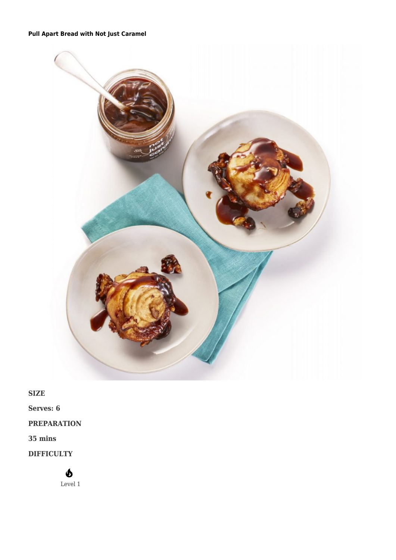## **[Pull Apart Bread with Not Just Caramel](https://afoodblog.notjust.co/2021/03/25/caramel-pull-apart-bread/)**



**SIZE**

**Serves: 6**

## **PREPARATION**

**35 mins**

**DIFFICULTY**

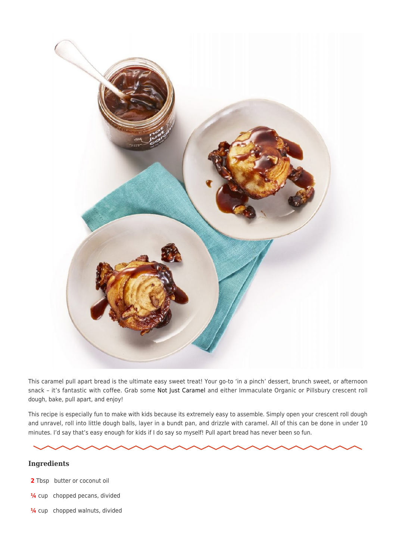

This caramel pull apart bread is the ultimate easy sweet treat! Your go-to 'in a pinch' dessert, brunch sweet, or afternoon snack – it's fantastic with coffee. Grab some [Not Just Caramel](https://notjust.co/products/not-just-coconut-caramel-3-pack) and either Immaculate Organic or Pillsbury crescent roll dough, bake, pull apart, and enjoy!

This recipe is especially fun to make with kids because its extremely easy to assemble. Simply open your crescent roll dough and unravel, roll into little dough balls, layer in a bundt pan, and drizzle with caramel. All of this can be done in under 10 minutes. I'd say that's easy enough for kids if I do say so myself! Pull apart bread has never been so fun.

## **Ingredients**

- **2** Tbsp butter or coconut oil
- **¼** cup chopped pecans, divided
- **¼** cup chopped walnuts, divided